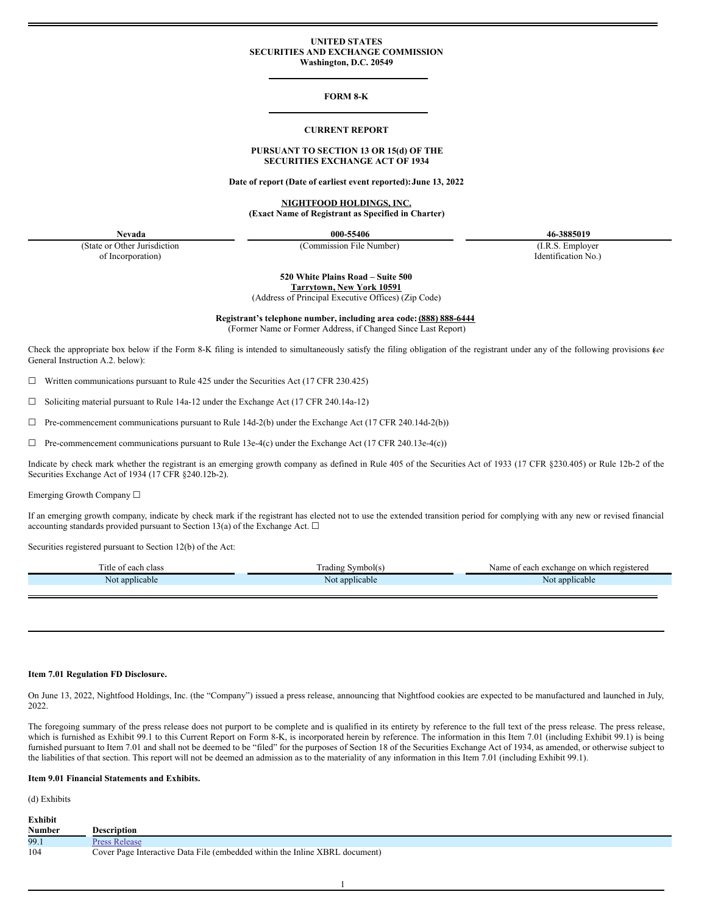### **UNITED STATES SECURITIES AND EXCHANGE COMMISSION Washington, D.C. 20549**

### **FORM 8-K**

#### **CURRENT REPORT**

## **PURSUANT TO SECTION 13 OR 15(d) OF THE SECURITIES EXCHANGE ACT OF 1934**

**Date of report (Date of earliest event reported):June 13, 2022**

**NIGHTFOOD HOLDINGS, INC. (Exact Name of Registrant as Specified in Charter)**

**Nevada 000-55406 46-3885019**

(State or Other Jurisdiction of Incorporation)

(Commission File Number) (I.R.S. Employer

Identification No.)

**520 White Plains Road – Suite 500 Tarrytown, New York 10591**

(Address of Principal Executive Offices) (Zip Code)

**Registrant's telephone number, including area code: (888) 888-6444**

(Former Name or Former Address, if Changed Since Last Report)

Check the appropriate box below if the Form 8-K filing is intended to simultaneously satisfy the filing obligation of the registrant under any of the following provisions (*see* General Instruction A.2. below):

☐ Written communications pursuant to Rule 425 under the Securities Act (17 CFR 230.425)

☐ Soliciting material pursuant to Rule 14a-12 under the Exchange Act (17 CFR 240.14a-12)

 $\Box$  Pre-commencement communications pursuant to Rule 14d-2(b) under the Exchange Act (17 CFR 240.14d-2(b))

 $\Box$  Pre-commencement communications pursuant to Rule 13e-4(c) under the Exchange Act (17 CFR 240.13e-4(c))

Indicate by check mark whether the registrant is an emerging growth company as defined in Rule 405 of the Securities Act of 1933 (17 CFR §230.405) or Rule 12b-2 of the Securities Exchange Act of 1934 (17 CFR §240.12b-2).

Emerging Growth Company ☐

If an emerging growth company, indicate by check mark if the registrant has elected not to use the extended transition period for complying with any new or revised financial accounting standards provided pursuant to Section 13(a) of the Exchange Act.  $\Box$ 

Securities registered pursuant to Section 12(b) of the Act:

| . itle<br>class<br>each<br>,,, | -<br>$\sim$ 3 mole<br>adır | Name.<br>. which<br>*^*^<br>$\sim$ In<br>. Journalise on $\tau$<br><u>Cac i i</u> |
|--------------------------------|----------------------------|-----------------------------------------------------------------------------------|
| an<br>cable<br><b>NO</b>       | ann<br>plicable<br>No:     | N <sub>0</sub><br>licable                                                         |

### **Item 7.01 Regulation FD Disclosure.**

On June 13, 2022, Nightfood Holdings, Inc. (the "Company") issued a press release, announcing that Nightfood cookies are expected to be manufactured and launched in July, 2022.

The foregoing summary of the press release does not purport to be complete and is qualified in its entirety by reference to the full text of the press release. The press release, which is furnished as Exhibit 99.1 to this Current Report on Form 8-K, is incorporated herein by reference. The information in this Item 7.01 (including Exhibit 99.1) is being furnished pursuant to Item 7.01 and shall not be deemed to be "filed" for the purposes of Section 18 of the Securities Exchange Act of 1934, as amended, or otherwise subject to the liabilities of that section. This report will not be deemed an admission as to the materiality of any information in this Item 7.01 (including Exhibit 99.1).

### **Item 9.01 Financial Statements and Exhibits.**

(d) Exhibits **Exhibit**

| EXHIDIU       |                                                                             |
|---------------|-----------------------------------------------------------------------------|
| <b>Number</b> | <b>Description</b>                                                          |
| 99.1          | <b>Press Release</b>                                                        |
| 104           | Cover Page Interactive Data File (embedded within the Inline XBRL document) |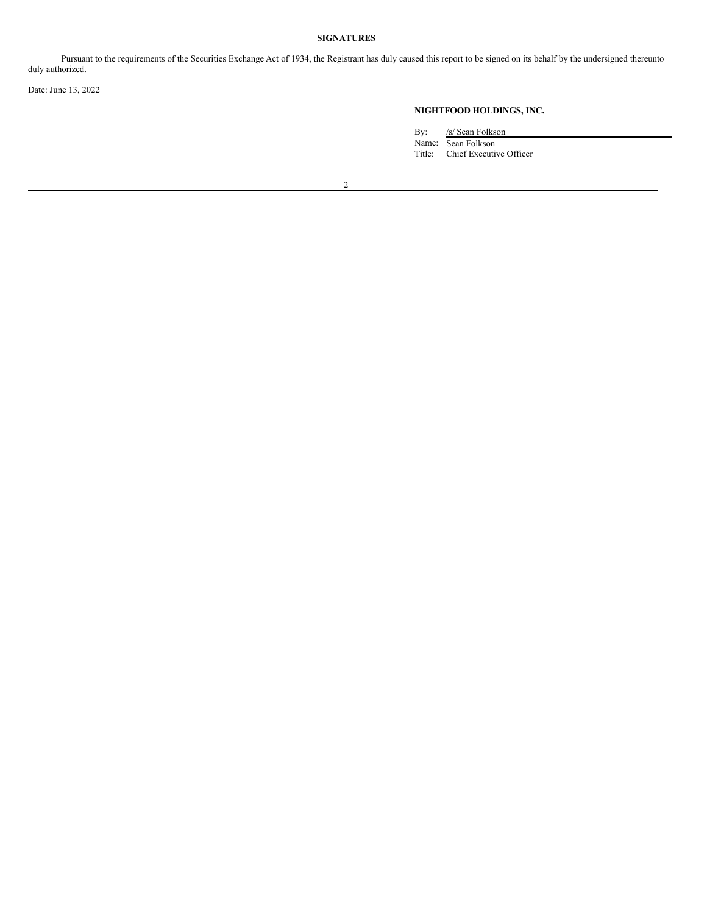# **SIGNATURES**

Pursuant to the requirements of the Securities Exchange Act of 1934, the Registrant has duly caused this report to be signed on its behalf by the undersigned thereunto duly authorized.

Date: June 13, 2022

# **NIGHTFOOD HOLDINGS, INC.**

By: /s/ Sean Folkson Name: Sean Folkson Title: Chief Executive Officer

2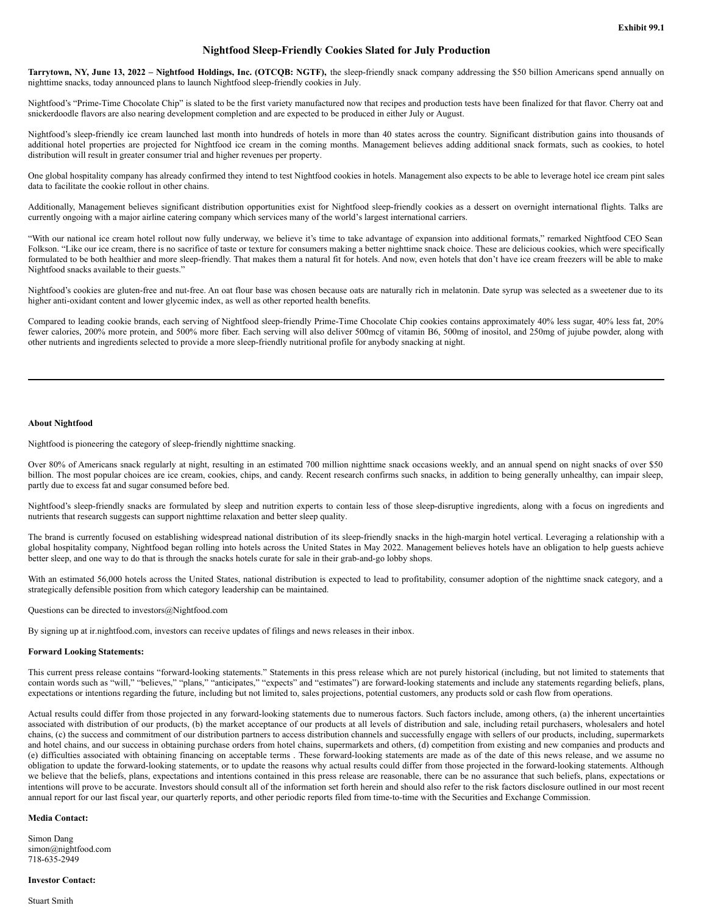# **Nightfood Sleep-Friendly Cookies Slated for July Production**

<span id="page-2-0"></span>Tarrytown, NY, June 13, 2022 - Nightfood Holdings, Inc. (OTCQB: NGTF), the sleep-friendly snack company addressing the \$50 billion Americans spend annually on nighttime snacks, today announced plans to launch Nightfood sleep-friendly cookies in July.

Nightfood's "Prime-Time Chocolate Chip" is slated to be the first variety manufactured now that recipes and production tests have been finalized for that flavor. Cherry oat and snickerdoodle flavors are also nearing development completion and are expected to be produced in either July or August.

Nightfood's sleep-friendly ice cream launched last month into hundreds of hotels in more than 40 states across the country. Significant distribution gains into thousands of additional hotel properties are projected for Nightfood ice cream in the coming months. Management believes adding additional snack formats, such as cookies, to hotel distribution will result in greater consumer trial and higher revenues per property.

One global hospitality company has already confirmed they intend to test Nightfood cookies in hotels. Management also expects to be able to leverage hotel ice cream pint sales data to facilitate the cookie rollout in other chains.

Additionally, Management believes significant distribution opportunities exist for Nightfood sleep-friendly cookies as a dessert on overnight international flights. Talks are currently ongoing with a major airline catering company which services many of the world's largest international carriers.

"With our national ice cream hotel rollout now fully underway, we believe it's time to take advantage of expansion into additional formats," remarked Nightfood CEO Sean Folkson. "Like our ice cream, there is no sacrifice of taste or texture for consumers making a better nighttime snack choice. These are delicious cookies, which were specifically formulated to be both healthier and more sleep-friendly. That makes them a natural fit for hotels. And now, even hotels that don't have ice cream freezers will be able to make Nightfood snacks available to their guests."

Nightfood's cookies are gluten-free and nut-free. An oat flour base was chosen because oats are naturally rich in melatonin. Date syrup was selected as a sweetener due to its higher anti-oxidant content and lower glycemic index, as well as other reported health benefits.

Compared to leading cookie brands, each serving of Nightfood sleep-friendly Prime-Time Chocolate Chip cookies contains approximately 40% less sugar, 40% less fat, 20% fewer calories, 200% more protein, and 500% more fiber. Each serving will also deliver 500mcg of vitamin B6, 500mg of inositol, and 250mg of jujube powder, along with other nutrients and ingredients selected to provide a more sleep-friendly nutritional profile for anybody snacking at night.

## **About Nightfood**

Nightfood is pioneering the category of sleep-friendly nighttime snacking.

Over 80% of Americans snack regularly at night, resulting in an estimated 700 million nighttime snack occasions weekly, and an annual spend on night snacks of over \$50 billion. The most popular choices are ice cream, cookies, chips, and candy. Recent research confirms such snacks, in addition to being generally unhealthy, can impair sleep, partly due to excess fat and sugar consumed before bed.

Nightfood's sleep-friendly snacks are formulated by sleep and nutrition experts to contain less of those sleep-disruptive ingredients, along with a focus on ingredients and nutrients that research suggests can support nighttime relaxation and better sleep quality.

The brand is currently focused on establishing widespread national distribution of its sleep-friendly snacks in the high-margin hotel vertical. Leveraging a relationship with a global hospitality company, Nightfood began rolling into hotels across the United States in May 2022. Management believes hotels have an obligation to help guests achieve better sleep, and one way to do that is through the snacks hotels curate for sale in their grab-and-go lobby shops.

With an estimated 56,000 hotels across the United States, national distribution is expected to lead to profitability, consumer adoption of the nighttime snack category, and a strategically defensible position from which category leadership can be maintained.

Questions can be directed to investors@Nightfood.com

By signing up at ir.nightfood.com, investors can receive updates of filings and news releases in their inbox.

### **Forward Looking Statements:**

This current press release contains "forward-looking statements." Statements in this press release which are not purely historical (including, but not limited to statements that contain words such as "will," "believes," "plans," "anticipates," "expects" and "estimates") are forward-looking statements and include any statements regarding beliefs, plans, expectations or intentions regarding the future, including but not limited to, sales projections, potential customers, any products sold or cash flow from operations.

Actual results could differ from those projected in any forward-looking statements due to numerous factors. Such factors include, among others, (a) the inherent uncertainties associated with distribution of our products, (b) the market acceptance of our products at all levels of distribution and sale, including retail purchasers, wholesalers and hotel chains, (c) the success and commitment of our distribution partners to access distribution channels and successfully engage with sellers of our products, including, supermarkets and hotel chains, and our success in obtaining purchase orders from hotel chains, supermarkets and others, (d) competition from existing and new companies and products and (e) difficulties associated with obtaining financing on acceptable terms . These forward-looking statements are made as of the date of this news release, and we assume no obligation to update the forward-looking statements, or to update the reasons why actual results could differ from those projected in the forward-looking statements. Although we believe that the beliefs, plans, expectations and intentions contained in this press release are reasonable, there can be no assurance that such beliefs, plans, expectations or intentions will prove to be accurate. Investors should consult all of the information set forth herein and should also refer to the risk factors disclosure outlined in our most recent annual report for our last fiscal year, our quarterly reports, and other periodic reports filed from time-to-time with the Securities and Exchange Commission.

#### **Media Contact:**

Simon Dang simon@nightfood.com 718-635-2949

### **Investor Contact:**

Stuart Smith